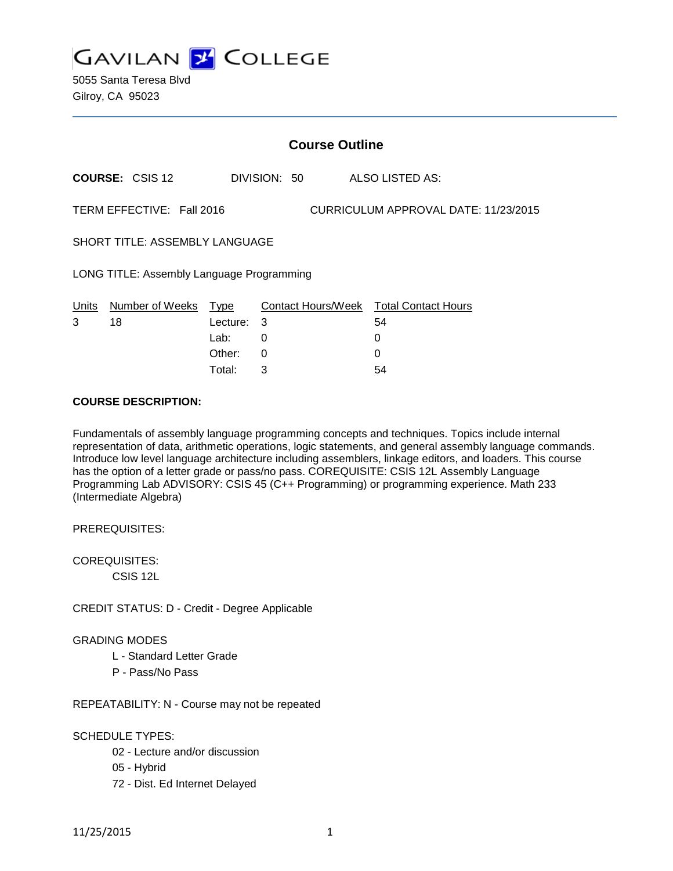

5055 Santa Teresa Blvd Gilroy, CA 95023

|                                                                   | <b>Course Outline</b>      |            |   |              |  |                                        |
|-------------------------------------------------------------------|----------------------------|------------|---|--------------|--|----------------------------------------|
|                                                                   | <b>COURSE: CSIS 12</b>     |            |   | DIVISION: 50 |  | ALSO LISTED AS:                        |
| TERM EFFECTIVE: Fall 2016<br>CURRICULUM APPROVAL DATE: 11/23/2015 |                            |            |   |              |  |                                        |
| <b>SHORT TITLE: ASSEMBLY LANGUAGE</b>                             |                            |            |   |              |  |                                        |
| LONG TITLE: Assembly Language Programming                         |                            |            |   |              |  |                                        |
|                                                                   | Units Number of Weeks Type |            |   |              |  | Contact Hours/Week Total Contact Hours |
| 3                                                                 | 18                         | Lecture: 3 |   |              |  | 54                                     |
|                                                                   |                            | Lab:       | 0 |              |  | 0                                      |
|                                                                   |                            | Other:     | 0 |              |  | 0                                      |
|                                                                   |                            | Total:     | 3 |              |  | 54                                     |

### **COURSE DESCRIPTION:**

Fundamentals of assembly language programming concepts and techniques. Topics include internal representation of data, arithmetic operations, logic statements, and general assembly language commands. Introduce low level language architecture including assemblers, linkage editors, and loaders. This course has the option of a letter grade or pass/no pass. COREQUISITE: CSIS 12L Assembly Language Programming Lab ADVISORY: CSIS 45 (C++ Programming) or programming experience. Math 233 (Intermediate Algebra)

PREREQUISITES:

COREQUISITES:

CSIS 12L

CREDIT STATUS: D - Credit - Degree Applicable

#### GRADING MODES

- L Standard Letter Grade
- P Pass/No Pass

REPEATABILITY: N - Course may not be repeated

#### SCHEDULE TYPES:

- 02 Lecture and/or discussion
- 05 Hybrid
- 72 Dist. Ed Internet Delayed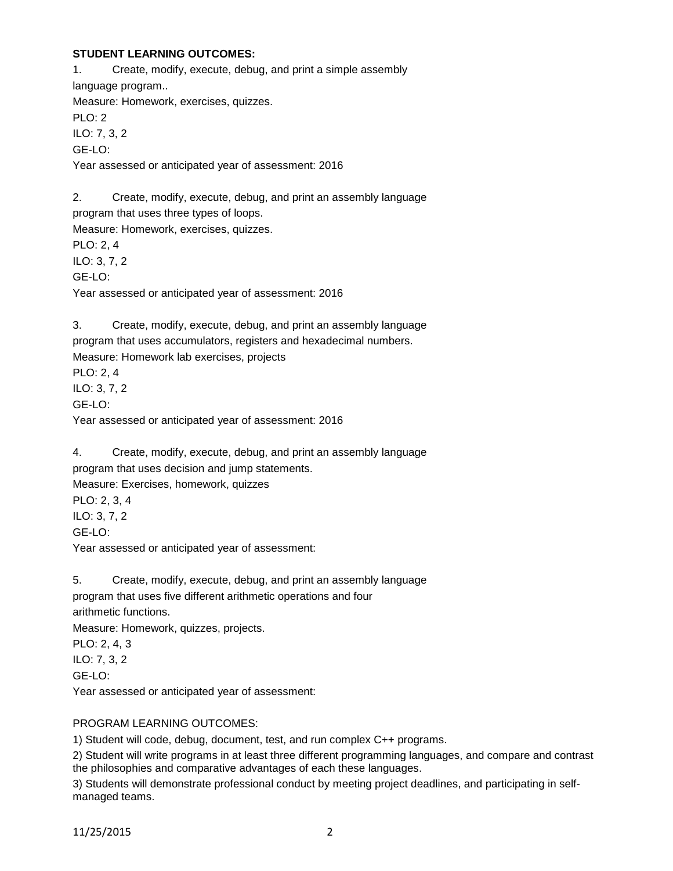## **STUDENT LEARNING OUTCOMES:**

1. Create, modify, execute, debug, and print a simple assembly language program.. Measure: Homework, exercises, quizzes. PLO: 2 ILO: 7, 3, 2 GE-LO: Year assessed or anticipated year of assessment: 2016

2. Create, modify, execute, debug, and print an assembly language program that uses three types of loops. Measure: Homework, exercises, quizzes. PLO: 2, 4 ILO: 3, 7, 2 GE-LO: Year assessed or anticipated year of assessment: 2016

3. Create, modify, execute, debug, and print an assembly language program that uses accumulators, registers and hexadecimal numbers. Measure: Homework lab exercises, projects PLO: 2, 4 ILO: 3, 7, 2 GE-LO: Year assessed or anticipated year of assessment: 2016

4. Create, modify, execute, debug, and print an assembly language program that uses decision and jump statements. Measure: Exercises, homework, quizzes PLO: 2, 3, 4 ILO: 3, 7, 2 GE-LO: Year assessed or anticipated year of assessment:

5. Create, modify, execute, debug, and print an assembly language program that uses five different arithmetic operations and four arithmetic functions. Measure: Homework, quizzes, projects. PLO: 2, 4, 3 ILO: 7, 3, 2 GE-LO: Year assessed or anticipated year of assessment:

## PROGRAM LEARNING OUTCOMES:

1) Student will code, debug, document, test, and run complex C++ programs.

2) Student will write programs in at least three different programming languages, and compare and contrast the philosophies and comparative advantages of each these languages.

3) Students will demonstrate professional conduct by meeting project deadlines, and participating in selfmanaged teams.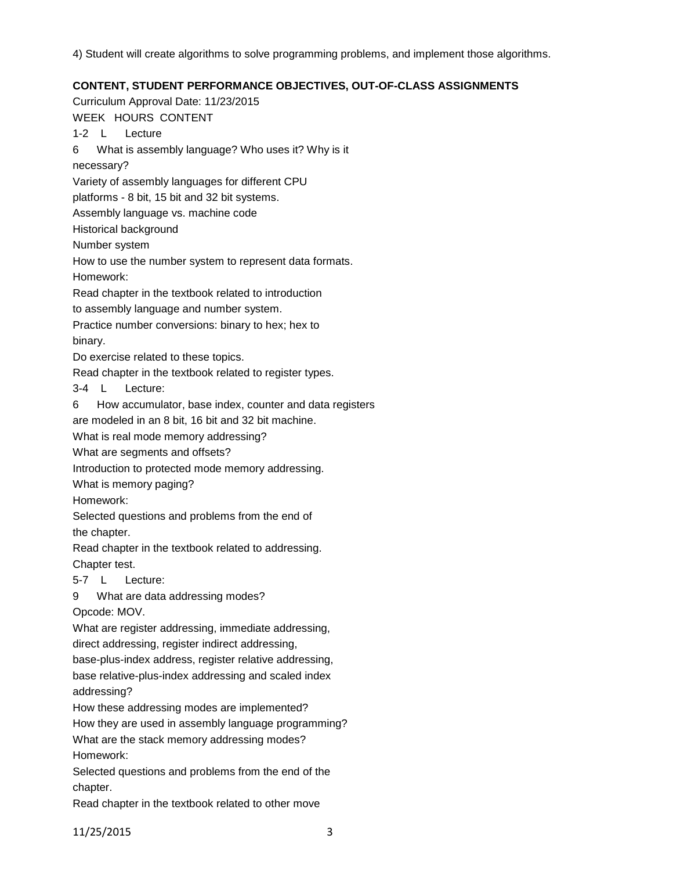4) Student will create algorithms to solve programming problems, and implement those algorithms.

# **CONTENT, STUDENT PERFORMANCE OBJECTIVES, OUT-OF-CLASS ASSIGNMENTS**

Curriculum Approval Date: 11/23/2015 WEEK HOURS CONTENT 1-2 L Lecture 6 What is assembly language? Who uses it? Why is it necessary? Variety of assembly languages for different CPU platforms - 8 bit, 15 bit and 32 bit systems. Assembly language vs. machine code Historical background Number system How to use the number system to represent data formats. Homework: Read chapter in the textbook related to introduction to assembly language and number system. Practice number conversions: binary to hex; hex to binary. Do exercise related to these topics. Read chapter in the textbook related to register types. 3-4 L Lecture: 6 How accumulator, base index, counter and data registers are modeled in an 8 bit, 16 bit and 32 bit machine. What is real mode memory addressing? What are segments and offsets? Introduction to protected mode memory addressing. What is memory paging? Homework: Selected questions and problems from the end of the chapter. Read chapter in the textbook related to addressing. Chapter test. 5-7 L Lecture: 9 What are data addressing modes? Opcode: MOV. What are register addressing, immediate addressing, direct addressing, register indirect addressing, base-plus-index address, register relative addressing, base relative-plus-index addressing and scaled index addressing? How these addressing modes are implemented? How they are used in assembly language programming? What are the stack memory addressing modes?

Homework:

Selected questions and problems from the end of the chapter.

Read chapter in the textbook related to other move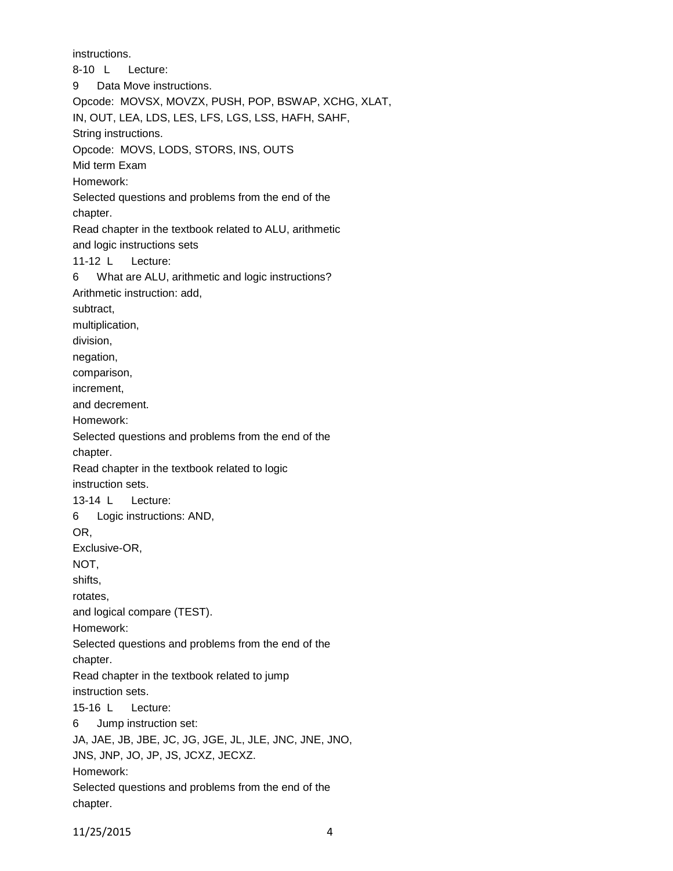instructions.

8-10 L Lecture: 9 Data Move instructions. Opcode: MOVSX, MOVZX, PUSH, POP, BSWAP, XCHG, XLAT, IN, OUT, LEA, LDS, LES, LFS, LGS, LSS, HAFH, SAHF, String instructions. Opcode: MOVS, LODS, STORS, INS, OUTS Mid term Exam Homework: Selected questions and problems from the end of the chapter. Read chapter in the textbook related to ALU, arithmetic and logic instructions sets 11-12 L Lecture: 6 What are ALU, arithmetic and logic instructions? Arithmetic instruction: add, subtract, multiplication, division, negation, comparison, increment, and decrement. Homework: Selected questions and problems from the end of the chapter. Read chapter in the textbook related to logic instruction sets. 13-14 L Lecture: 6 Logic instructions: AND, OR, Exclusive-OR, NOT, shifts, rotates, and logical compare (TEST). Homework: Selected questions and problems from the end of the chapter. Read chapter in the textbook related to jump instruction sets. 15-16 L Lecture: 6 Jump instruction set: JA, JAE, JB, JBE, JC, JG, JGE, JL, JLE, JNC, JNE, JNO, JNS, JNP, JO, JP, JS, JCXZ, JECXZ. Homework: Selected questions and problems from the end of the chapter.

11/25/2015 4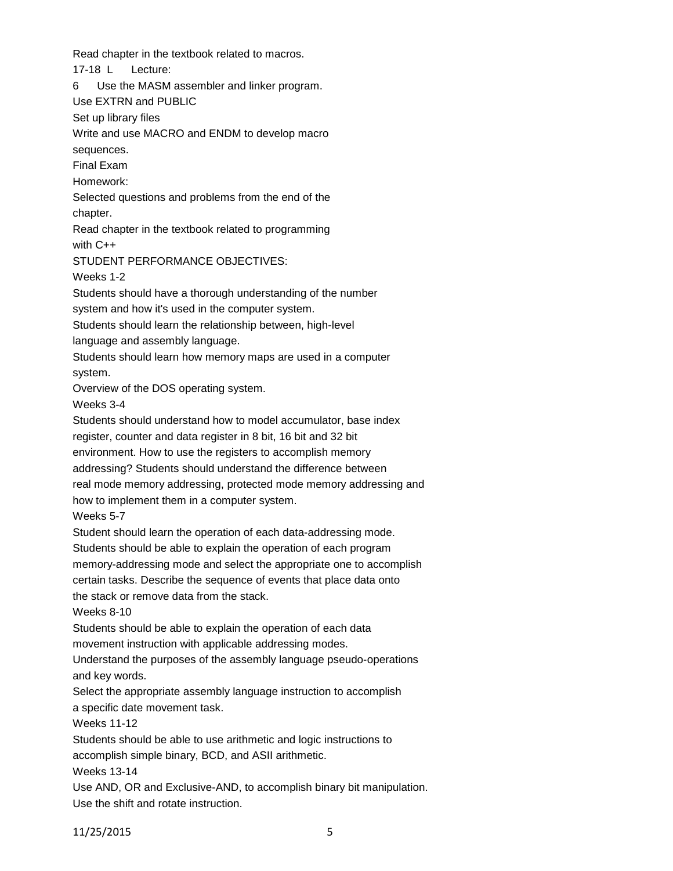Read chapter in the textbook related to macros.

17-18 L Lecture:

6 Use the MASM assembler and linker program.

Use EXTRN and PUBLIC

Set up library files

Write and use MACRO and ENDM to develop macro sequences.

Final Exam

Homework:

Selected questions and problems from the end of the chapter.

Read chapter in the textbook related to programming with C++

STUDENT PERFORMANCE OBJECTIVES:

Weeks 1-2

Students should have a thorough understanding of the number

system and how it's used in the computer system.

Students should learn the relationship between, high-level

language and assembly language.

Students should learn how memory maps are used in a computer

system.

Overview of the DOS operating system.

Weeks 3-4

Students should understand how to model accumulator, base index register, counter and data register in 8 bit, 16 bit and 32 bit environment. How to use the registers to accomplish memory addressing? Students should understand the difference between real mode memory addressing, protected mode memory addressing and how to implement them in a computer system.

Weeks 5-7

Student should learn the operation of each data-addressing mode.

Students should be able to explain the operation of each program

memory-addressing mode and select the appropriate one to accomplish

certain tasks. Describe the sequence of events that place data onto the stack or remove data from the stack.

Weeks 8-10

Students should be able to explain the operation of each data movement instruction with applicable addressing modes.

Understand the purposes of the assembly language pseudo-operations and key words.

Select the appropriate assembly language instruction to accomplish

a specific date movement task.

Weeks 11-12

Students should be able to use arithmetic and logic instructions to

accomplish simple binary, BCD, and ASII arithmetic.

Weeks 13-14

Use AND, OR and Exclusive-AND, to accomplish binary bit manipulation. Use the shift and rotate instruction.

11/25/2015 5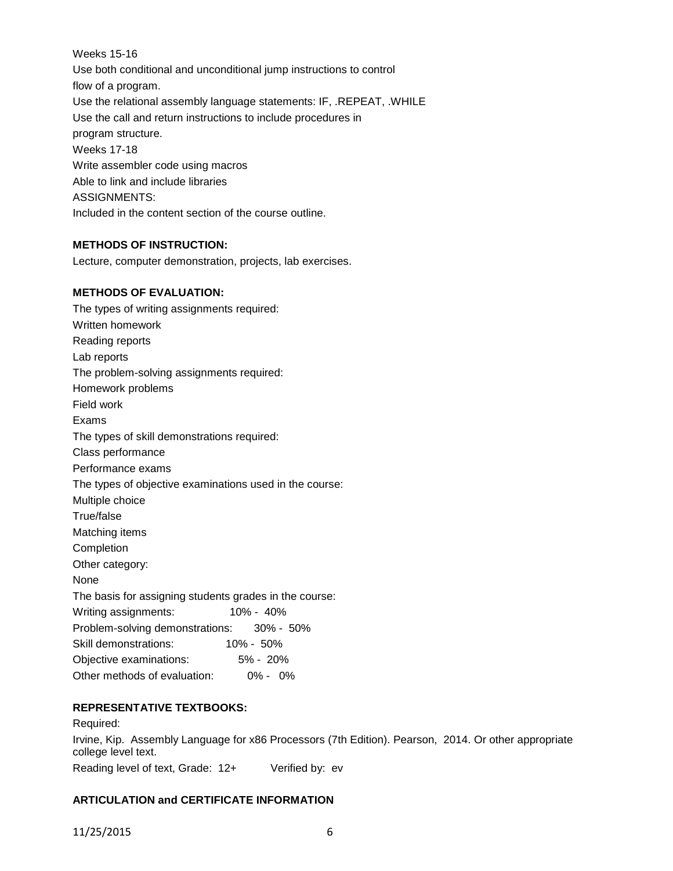Weeks 15-16 Use both conditional and unconditional jump instructions to control flow of a program. Use the relational assembly language statements: IF, .REPEAT, .WHILE Use the call and return instructions to include procedures in program structure. Weeks 17-18 Write assembler code using macros Able to link and include libraries ASSIGNMENTS: Included in the content section of the course outline.

# **METHODS OF INSTRUCTION:**

Lecture, computer demonstration, projects, lab exercises.

## **METHODS OF EVALUATION:**

The types of writing assignments required: Written homework Reading reports Lab reports The problem-solving assignments required: Homework problems Field work Exams The types of skill demonstrations required: Class performance Performance exams The types of objective examinations used in the course: Multiple choice True/false Matching items Completion Other category: None The basis for assigning students grades in the course: Writing assignments: 10% - 40% Problem-solving demonstrations: 30% - 50% Skill demonstrations: 10% - 50% Objective examinations: 5% - 20% Other methods of evaluation: 0% - 0%

## **REPRESENTATIVE TEXTBOOKS:**

Required: Irvine, Kip. Assembly Language for x86 Processors (7th Edition). Pearson, 2014. Or other appropriate college level text. Reading level of text, Grade: 12+ Verified by: ev

## **ARTICULATION and CERTIFICATE INFORMATION**